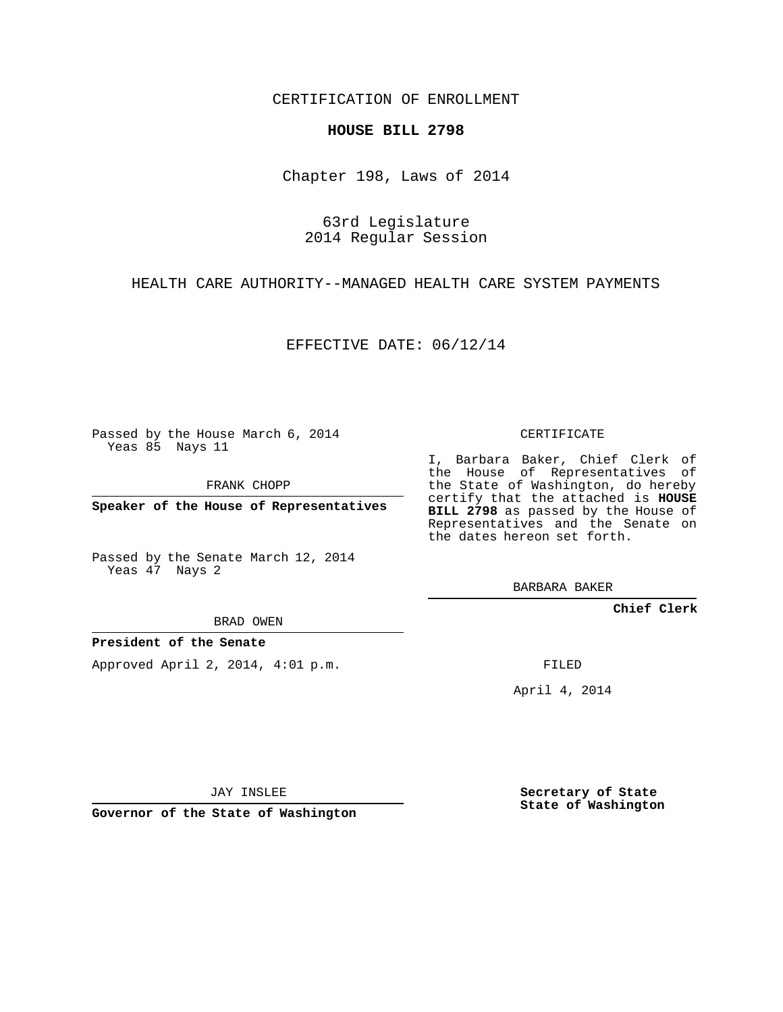CERTIFICATION OF ENROLLMENT

## **HOUSE BILL 2798**

Chapter 198, Laws of 2014

63rd Legislature 2014 Regular Session

HEALTH CARE AUTHORITY--MANAGED HEALTH CARE SYSTEM PAYMENTS

EFFECTIVE DATE: 06/12/14

Passed by the House March 6, 2014 Yeas 85 Nays 11

FRANK CHOPP

**Speaker of the House of Representatives**

Passed by the Senate March 12, 2014 Yeas 47 Nays 2

BRAD OWEN

## **President of the Senate**

Approved April 2, 2014, 4:01 p.m.

CERTIFICATE

I, Barbara Baker, Chief Clerk of the House of Representatives of the State of Washington, do hereby certify that the attached is **HOUSE BILL 2798** as passed by the House of Representatives and the Senate on the dates hereon set forth.

BARBARA BAKER

**Chief Clerk**

FILED

April 4, 2014

JAY INSLEE

**Governor of the State of Washington**

**Secretary of State State of Washington**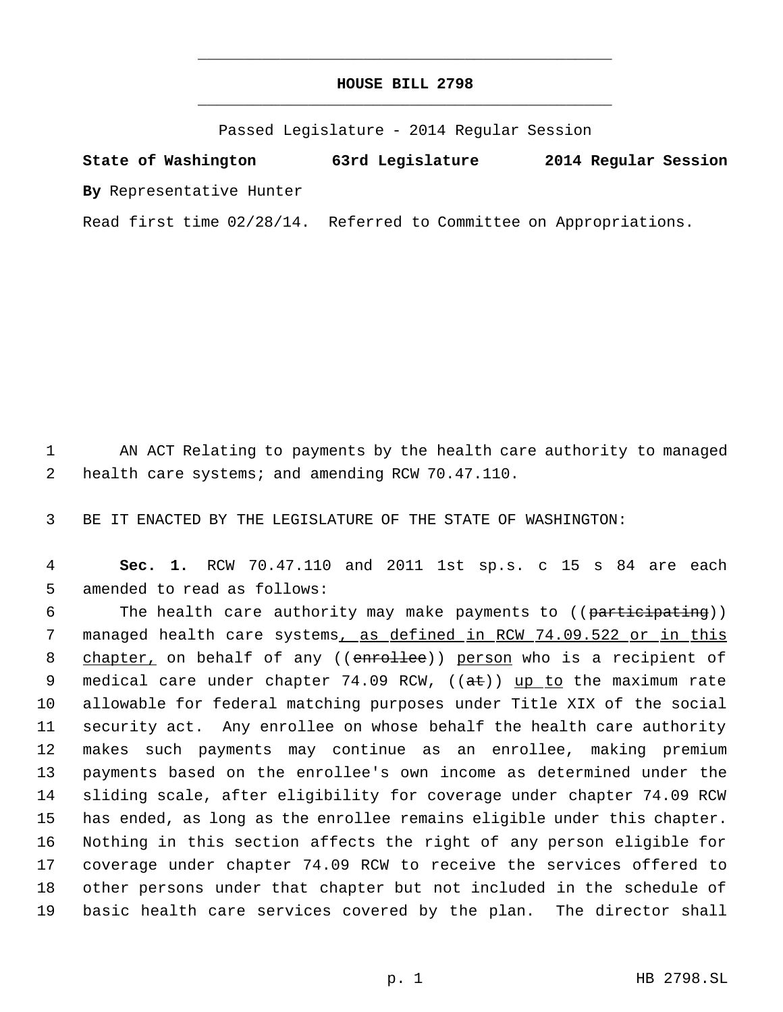## **HOUSE BILL 2798** \_\_\_\_\_\_\_\_\_\_\_\_\_\_\_\_\_\_\_\_\_\_\_\_\_\_\_\_\_\_\_\_\_\_\_\_\_\_\_\_\_\_\_\_\_

\_\_\_\_\_\_\_\_\_\_\_\_\_\_\_\_\_\_\_\_\_\_\_\_\_\_\_\_\_\_\_\_\_\_\_\_\_\_\_\_\_\_\_\_\_

Passed Legislature - 2014 Regular Session

**State of Washington 63rd Legislature 2014 Regular Session By** Representative Hunter

Read first time 02/28/14. Referred to Committee on Appropriations.

 1 AN ACT Relating to payments by the health care authority to managed 2 health care systems; and amending RCW 70.47.110.

3 BE IT ENACTED BY THE LEGISLATURE OF THE STATE OF WASHINGTON:

 4 **Sec. 1.** RCW 70.47.110 and 2011 1st sp.s. c 15 s 84 are each 5 amended to read as follows:

6 The health care authority may make payments to ((participating)) 7 managed health care systems, as defined in RCW 74.09.522 or in this 8 chapter, on behalf of any ((enrollee)) person who is a recipient of 9 medical care under chapter  $74.09$  RCW,  $((a\text{ft}))$  up to the maximum rate allowable for federal matching purposes under Title XIX of the social security act. Any enrollee on whose behalf the health care authority makes such payments may continue as an enrollee, making premium payments based on the enrollee's own income as determined under the sliding scale, after eligibility for coverage under chapter 74.09 RCW has ended, as long as the enrollee remains eligible under this chapter. Nothing in this section affects the right of any person eligible for coverage under chapter 74.09 RCW to receive the services offered to other persons under that chapter but not included in the schedule of basic health care services covered by the plan. The director shall